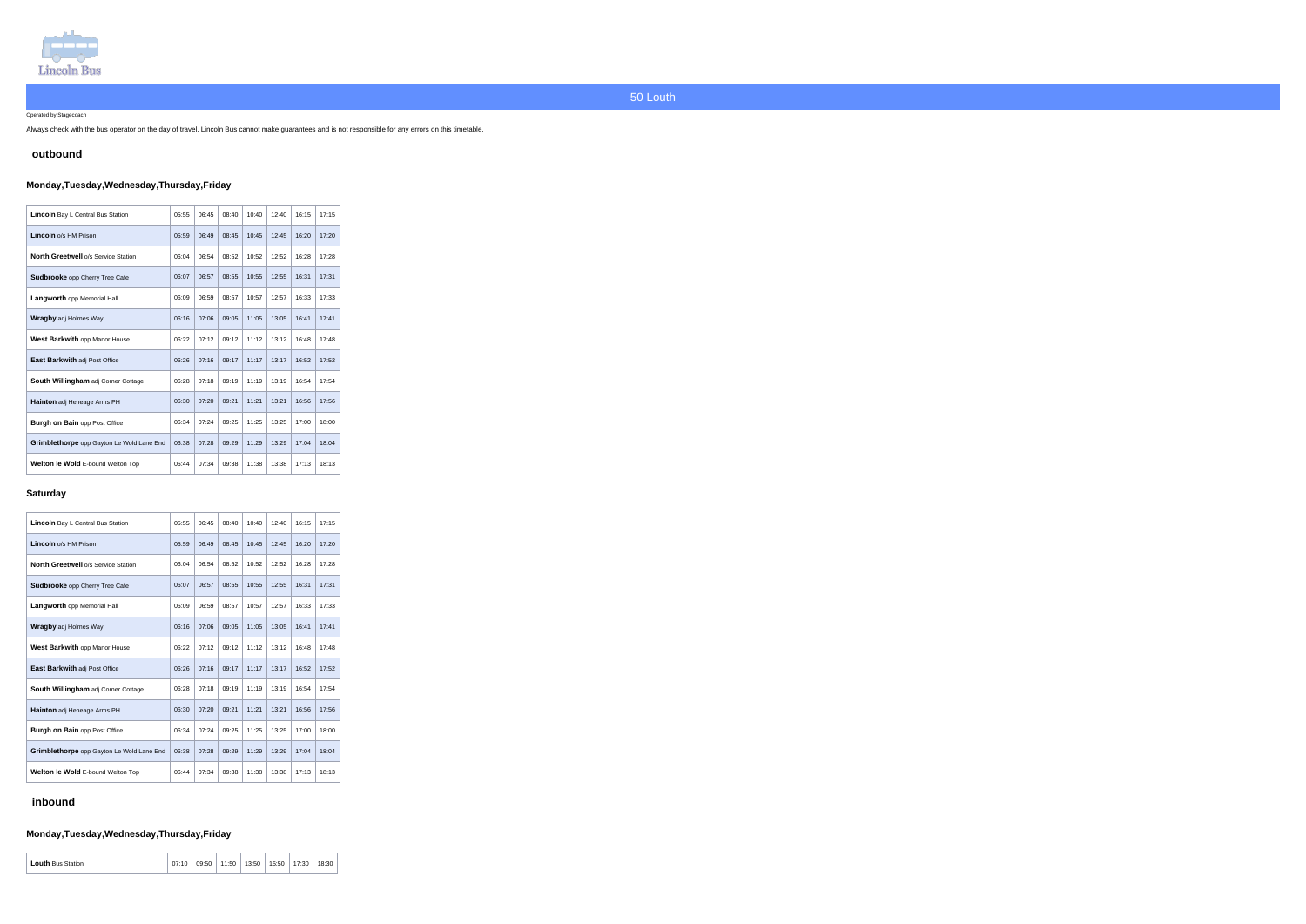

Operated by Stagecoach

Always check with the bus operator on the day of travel. Lincoln Bus cannot make guarantees and is not responsible for any errors on this timetable.

### **outbound**

## **Monday,Tuesday,Wednesday,Thursday,Friday**

| Lincoln Bay L Central Bus Station          | 05:55 | 06:45 | 08:40 | 10:40 | 12:40 | 16:15 | 17:15 |
|--------------------------------------------|-------|-------|-------|-------|-------|-------|-------|
| Lincoln o/s HM Prison                      | 05:59 | 06:49 | 08:45 | 10:45 | 12:45 | 16:20 | 17:20 |
| <b>North Greetwell o/s Service Station</b> | 06:04 | 06:54 | 08:52 | 10:52 | 12:52 | 16:28 | 17:28 |
| <b>Sudbrooke</b> opp Cherry Tree Cafe      | 06:07 | 06:57 | 08:55 | 10:55 | 12:55 | 16:31 | 17:31 |
| <b>Langworth opp Memorial Hall</b>         | 06:09 | 06:59 | 08:57 | 10:57 | 12:57 | 16:33 | 17:33 |
| <b>Wragby adj Holmes Way</b>               | 06:16 | 07:06 | 09:05 | 11:05 | 13:05 | 16:41 | 17:41 |
| West Barkwith opp Manor House              | 06:22 | 07:12 | 09:12 | 11:12 | 13:12 | 16:48 | 17:48 |
| East Barkwith adj Post Office              | 06:26 | 07:16 | 09:17 | 11:17 | 13:17 | 16:52 | 17:52 |
| <b>South Willingham adj Corner Cottage</b> | 06:28 | 07:18 | 09:19 | 11:19 | 13:19 | 16:54 | 17:54 |
| <b>Hainton</b> adj Heneage Arms PH         | 06:30 | 07:20 | 09:21 | 11:21 | 13:21 | 16:56 | 17:56 |
| <b>Burgh on Bain opp Post Office</b>       | 06:34 | 07:24 | 09:25 | 11:25 | 13:25 | 17:00 | 18:00 |
| Grimblethorpe opp Gayton Le Wold Lane End  | 06:38 | 07:28 | 09:29 | 11:29 | 13:29 | 17:04 | 18:04 |
| <b>Welton le Wold E-bound Welton Top</b>   | 06:44 | 07:34 | 09:38 | 11:38 | 13:38 | 17:13 | 18:13 |

#### **Saturday**

| <b>Lincoln</b> Bay L Central Bus Station         | 05:55 | 06:45 | 08:40 | 10:40 | 12:40 | 16:15 | 17:15 |
|--------------------------------------------------|-------|-------|-------|-------|-------|-------|-------|
| Lincoln o/s HM Prison                            | 05:59 | 06:49 | 08:45 | 10:45 | 12:45 | 16:20 | 17:20 |
| <b>North Greetwell o/s Service Station</b>       | 06:04 | 06:54 | 08:52 | 10:52 | 12:52 | 16:28 | 17:28 |
| Sudbrooke opp Cherry Tree Cafe                   | 06:07 | 06:57 | 08:55 | 10:55 | 12:55 | 16:31 | 17:31 |
| Langworth opp Memorial Hall                      | 06:09 | 06:59 | 08:57 | 10:57 | 12:57 | 16:33 | 17:33 |
| <b>Wragby adj Holmes Way</b>                     | 06:16 | 07:06 | 09:05 | 11:05 | 13:05 | 16:41 | 17:41 |
| West Barkwith opp Manor House                    | 06:22 | 07:12 | 09:12 | 11:12 | 13:12 | 16:48 | 17:48 |
| East Barkwith adj Post Office                    | 06:26 | 07:16 | 09:17 | 11:17 | 13:17 | 16:52 | 17:52 |
| South Willingham adj Corner Cottage              | 06:28 | 07:18 | 09:19 | 11:19 | 13:19 | 16:54 | 17:54 |
| <b>Hainton</b> adj Heneage Arms PH               | 06:30 | 07:20 | 09:21 | 11:21 | 13:21 | 16:56 | 17:56 |
| <b>Burgh on Bain opp Post Office</b>             | 06:34 | 07:24 | 09:25 | 11:25 | 13:25 | 17:00 | 18:00 |
| <b>Grimblethorpe</b> opp Gayton Le Wold Lane End | 06:38 | 07:28 | 09:29 | 11:29 | 13:29 | 17:04 | 18:04 |
| Welton le Wold E-bound Welton Top                | 06:44 | 07:34 | 09:38 | 11:38 | 13:38 | 17:13 | 18:13 |

## **inbound**

# **Monday,Tuesday,Wednesday,Thursday,Friday**

| <b>Louth</b> Bus Station | 07:10 | 09:50 | 11:50 | 13:50 | 15:50 | 17:30 | 18:30 |
|--------------------------|-------|-------|-------|-------|-------|-------|-------|
|--------------------------|-------|-------|-------|-------|-------|-------|-------|